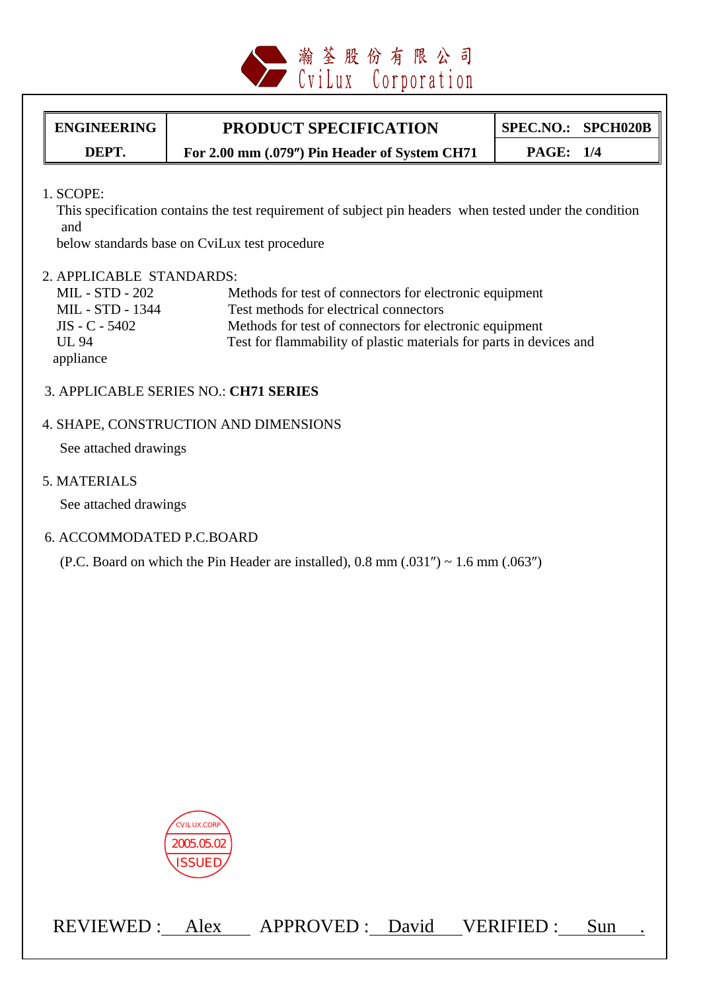

# ENGINEERING **PRODUCT SPECIFICATION** SPEC.NO.: SPCH020B

**DEPT. For 2.00 mm (.079**″**) Pin Header of System CH71 PAGE: 1/4** 

1. SCOPE:

 This specification contains the test requirement of subject pin headers when tested under the condition and

below standards base on CviLux test procedure

#### 2. APPLICABLE STANDARDS:

| MIL - STD - 202                | Methods for test of connectors for electronic equipment             |
|--------------------------------|---------------------------------------------------------------------|
| MIL - STD - 1344               | Test methods for electrical connectors                              |
| $\text{IIS} - \text{C} - 5402$ | Methods for test of connectors for electronic equipment             |
| UL 94                          | Test for flammability of plastic materials for parts in devices and |
| appliance                      |                                                                     |

#### 3. APPLICABLE SERIES NO.: **CH71 SERIES**

#### 4. SHAPE, CONSTRUCTION AND DIMENSIONS

See attached drawings

5. MATERIALS

See attached drawings

#### 6. ACCOMMODATED P.C.BOARD

(P.C. Board on which the Pin Header are installed),  $0.8 \text{ mm } (.031'') \sim 1.6 \text{ mm } (.063'')$ 



REVIEWED : Alex APPROVED : David VERIFIED : Sun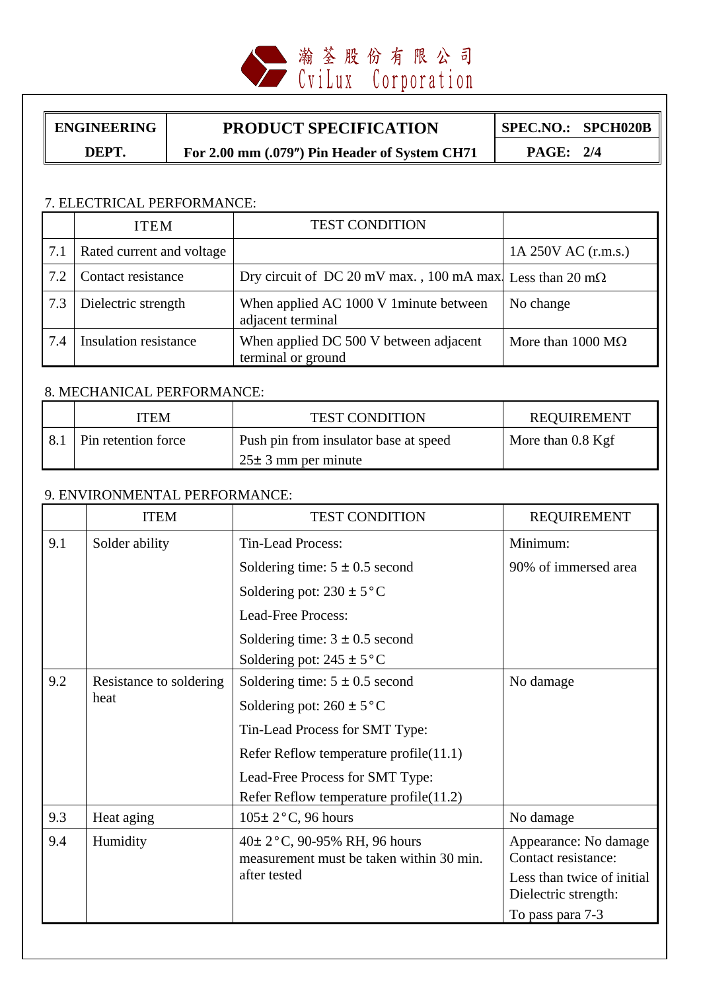

## ENGINEERING **PRODUCT SPECIFICATION** SPEC.NO.: SPCH020B

**DEPT. For 2.00 mm (.079**″**) Pin Header of System CH71 PAGE: 2/4** 

## 7. ELECTRICAL PERFORMANCE:

|     | <b>ITEM</b>               | <b>TEST CONDITION</b>                                             |                                  |
|-----|---------------------------|-------------------------------------------------------------------|----------------------------------|
| 7.1 | Rated current and voltage |                                                                   | 1A 250V AC (r.m.s.)              |
| 7.2 | Contact resistance        | Dry circuit of DC 20 mV max., 100 mA max. Less than 20 m $\Omega$ |                                  |
| 7.3 | Dielectric strength       | When applied AC 1000 V 1 minute between<br>adjacent terminal      | No change                        |
| 7.4 | Insulation resistance     | When applied DC 500 V between adjacent<br>terminal or ground      | More than $1000 \text{ M}\Omega$ |

#### 8. MECHANICAL PERFORMANCE:

| ITEM                | <b>TEST CONDITION</b>                 | REQUIREMENT         |
|---------------------|---------------------------------------|---------------------|
| Pin retention force | Push pin from insulator base at speed | More than $0.8$ Kgf |
|                     | $25 \pm 3$ mm per minute              |                     |

## 9. ENVIRONMENTAL PERFORMANCE:

|     | <b>ITEM</b>                     | <b>TEST CONDITION</b>                                                    | <b>REQUIREMENT</b>                           |
|-----|---------------------------------|--------------------------------------------------------------------------|----------------------------------------------|
| 9.1 | Solder ability                  | <b>Tin-Lead Process:</b>                                                 | Minimum:                                     |
|     |                                 | Soldering time: $5 \pm 0.5$ second                                       | 90% of immersed area                         |
|     |                                 | Soldering pot: $230 \pm 5$ °C                                            |                                              |
|     |                                 | <b>Lead-Free Process:</b>                                                |                                              |
|     |                                 | Soldering time: $3 \pm 0.5$ second                                       |                                              |
|     |                                 | Soldering pot: $245 \pm 5$ °C                                            |                                              |
| 9.2 | Resistance to soldering<br>heat | Soldering time: $5 \pm 0.5$ second                                       | No damage                                    |
|     |                                 | Soldering pot: $260 \pm 5^{\circ}$ C                                     |                                              |
|     |                                 | Tin-Lead Process for SMT Type:                                           |                                              |
|     |                                 | Refer Reflow temperature profile(11.1)                                   |                                              |
|     |                                 | Lead-Free Process for SMT Type:                                          |                                              |
|     |                                 | Refer Reflow temperature profile(11.2)                                   |                                              |
| 9.3 | Heat aging                      | $105 \pm 2$ °C, 96 hours                                                 | No damage                                    |
| 9.4 | Humidity                        | 40± 2°C, 90-95% RH, 96 hours<br>measurement must be taken within 30 min. | Appearance: No damage<br>Contact resistance: |
|     |                                 | after tested                                                             | Less than twice of initial                   |
|     |                                 |                                                                          | Dielectric strength:                         |
|     |                                 |                                                                          | To pass para 7-3                             |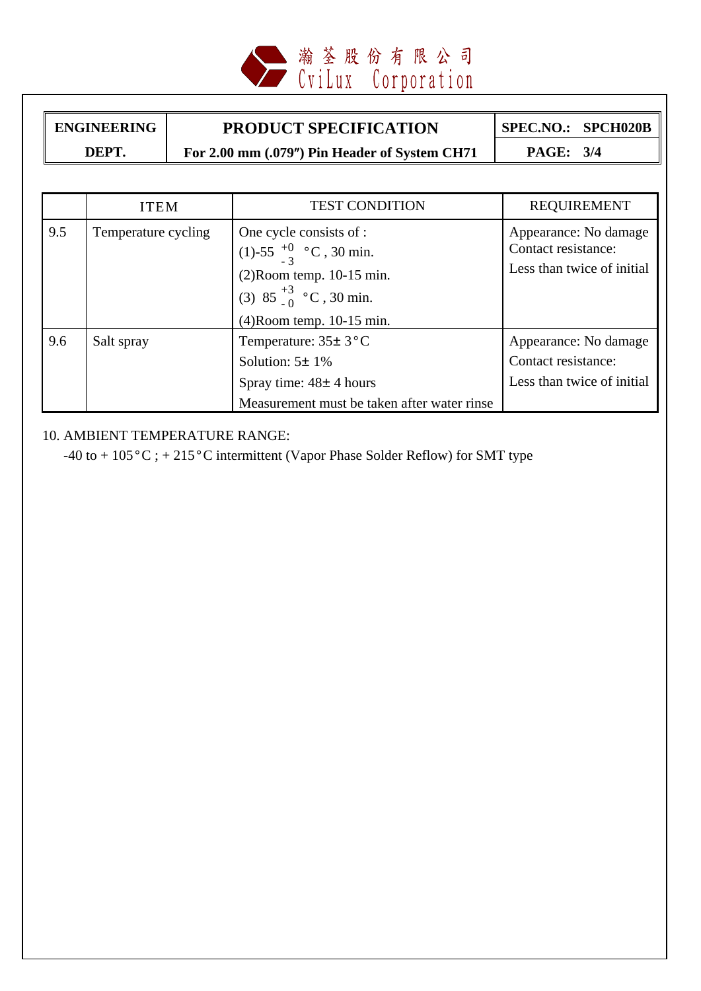

ENGINEERING **PRODUCT SPECIFICATION** SPEC.NO.: SPCH020B **DEPT. For 2.00 mm (.079**″**) Pin Header of System CH71 PAGE: 3/4** 

|     | <b>ITEM</b>         | <b>TEST CONDITION</b>                       | <b>REQUIREMENT</b>         |
|-----|---------------------|---------------------------------------------|----------------------------|
| 9.5 | Temperature cycling | One cycle consists of :                     | Appearance: No damage      |
|     |                     | (1)-55 $^{+0}_{-3}$ °C, 30 min.             | Contact resistance:        |
|     |                     | $(2)$ Room temp. 10-15 min.                 | Less than twice of initial |
|     |                     | (3) 85 $^{+3}_{-0}$ °C, 30 min.             |                            |
|     |                     | $(4)$ Room temp. 10-15 min.                 |                            |
| 9.6 | Salt spray          | Temperature: $35 \pm 3$ °C                  | Appearance: No damage      |
|     |                     | Solution: $5\pm 1\%$                        | Contact resistance:        |
|     |                     | Spray time: $48 \pm 4$ hours                | Less than twice of initial |
|     |                     | Measurement must be taken after water rinse |                            |

10. AMBIENT TEMPERATURE RANGE:

-40 to +  $105\,^{\circ}$ C; +  $215\,^{\circ}$ C intermittent (Vapor Phase Solder Reflow) for SMT type